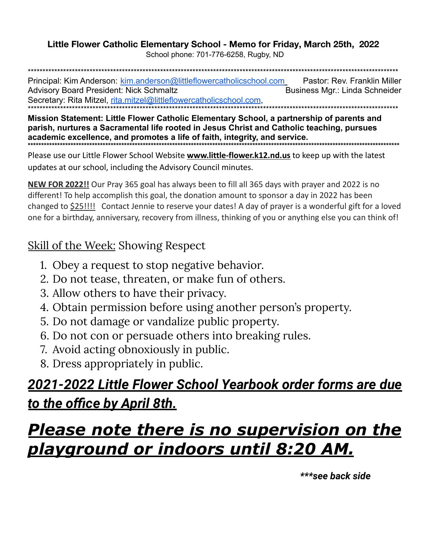#### Little Flower Catholic Elementary School - Memo for Friday, March 25th, 2022

School phone: 701-776-6258, Rugby, ND

Principal: Kim Anderson: kim.anderson@littleflowercatholicschool.com Pastor: Rev. Franklin Miller **Advisory Board President: Nick Schmaltz** Business Mgr.: Linda Schneider Secretary: Rita Mitzel, rita.mitzel@littleflowercatholicschool.com,

Mission Statement: Little Flower Catholic Elementary School, a partnership of parents and parish, nurtures a Sacramental life rooted in Jesus Christ and Catholic teaching, pursues academic excellence, and promotes a life of faith, integrity, and service. 

Please use our Little Flower School Website **www.little-flower.k12.nd.us** to keep up with the latest updates at our school, including the Advisory Council minutes.

NEW FOR 2022!! Our Pray 365 goal has always been to fill all 365 days with prayer and 2022 is no different! To help accomplish this goal, the donation amount to sponsor a day in 2022 has been changed to \$25!!!! Contact Jennie to reserve your dates! A day of prayer is a wonderful gift for a loved one for a birthday, anniversary, recovery from illness, thinking of you or anything else you can think of!

#### **Skill of the Week: Showing Respect**

- 1. Obey a request to stop negative behavior.
- 2. Do not tease, threaten, or make fun of others.
- 3. Allow others to have their privacy.
- 4. Obtain permission before using another person's property.
- 5. Do not damage or vandalize public property.
- 6. Do not con or persuade others into breaking rules.
- 7. Avoid acting obnoxiously in public.
- 8. Dress appropriately in public.

## <u> 2021-2022 Little Flower School Yearbook order forms are due</u> <u>to the office by April 8th.</u>

## **Please note there is no supervision on the** <u>playground or indoors until 8:20 AM.</u>

\*\*\*see back side